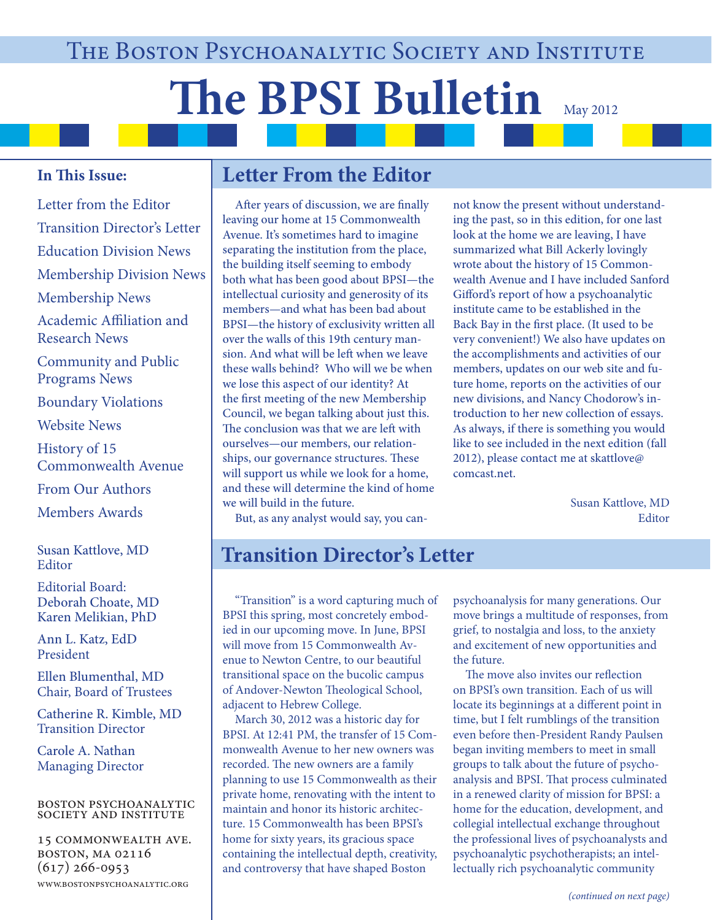# **The BPSI Bulletin** May 2012

## **In This Issue:**

Letter from the Editor Transition Director's Letter Education Division News Membership Division News Membership News Academic Affiliation and Research News Community and Public Programs News Boundary Violations Website News History of 15 Commonwealth Avenue From Our Authors Members Awards

Susan Kattlove, MD **Editor** 

Editorial Board: Deborah Choate, MD Karen Melikian, PhD

Ann L. Katz, EdD President

Ellen Blumenthal, MD Chair, Board of Trustees

Catherine R. Kimble, MD Transition Director

Carole A. Nathan Managing Director

#### boston psychoanalytic society and institute

15 commonwealth ave. boston, ma 02116  $(617)$  266-0953 www.bostonpsychoanalytic.org

## **Letter From the Editor**

After years of discussion, we are finally leaving our home at 15 Commonwealth Avenue. It's sometimes hard to imagine separating the institution from the place, the building itself seeming to embody both what has been good about BPSI—the intellectual curiosity and generosity of its members—and what has been bad about BPSI—the history of exclusivity written all over the walls of this 19th century mansion. And what will be left when we leave these walls behind? Who will we be when we lose this aspect of our identity? At the first meeting of the new Membership Council, we began talking about just this. The conclusion was that we are left with ourselves—our members, our relationships, our governance structures. These will support us while we look for a home, and these will determine the kind of home we will build in the future.

not know the present without understanding the past, so in this edition, for one last look at the home we are leaving, I have summarized what Bill Ackerly lovingly wrote about the history of 15 Commonwealth Avenue and I have included Sanford Gifford's report of how a psychoanalytic institute came to be established in the Back Bay in the first place. (It used to be very convenient!) We also have updates on the accomplishments and activities of our members, updates on our web site and future home, reports on the activities of our new divisions, and Nancy Chodorow's introduction to her new collection of essays. As always, if there is something you would like to see included in the next edition (fall 2012), please contact me at skattlove@ comcast.net.

> Susan Kattlove, MD Editor

But, as any analyst would say, you can-

## **Transition Director's Letter**

 "Transition" is a word capturing much of BPSI this spring, most concretely embodied in our upcoming move. In June, BPSI will move from 15 Commonwealth Avenue to Newton Centre, to our beautiful transitional space on the bucolic campus of Andover-Newton Theological School, adjacent to Hebrew College.

 March 30, 2012 was a historic day for BPSI. At 12:41 PM, the transfer of 15 Commonwealth Avenue to her new owners was recorded. The new owners are a family planning to use 15 Commonwealth as their private home, renovating with the intent to maintain and honor its historic architecture. 15 Commonwealth has been BPSI's home for sixty years, its gracious space containing the intellectual depth, creativity, and controversy that have shaped Boston

psychoanalysis for many generations. Our move brings a multitude of responses, from grief, to nostalgia and loss, to the anxiety and excitement of new opportunities and the future.

The move also invites our reflection on BPSI's own transition. Each of us will locate its beginnings at a different point in time, but I felt rumblings of the transition even before then-President Randy Paulsen began inviting members to meet in small groups to talk about the future of psychoanalysis and BPSI. That process culminated in a renewed clarity of mission for BPSI: a home for the education, development, and collegial intellectual exchange throughout the professional lives of psychoanalysts and psychoanalytic psychotherapists; an intellectually rich psychoanalytic community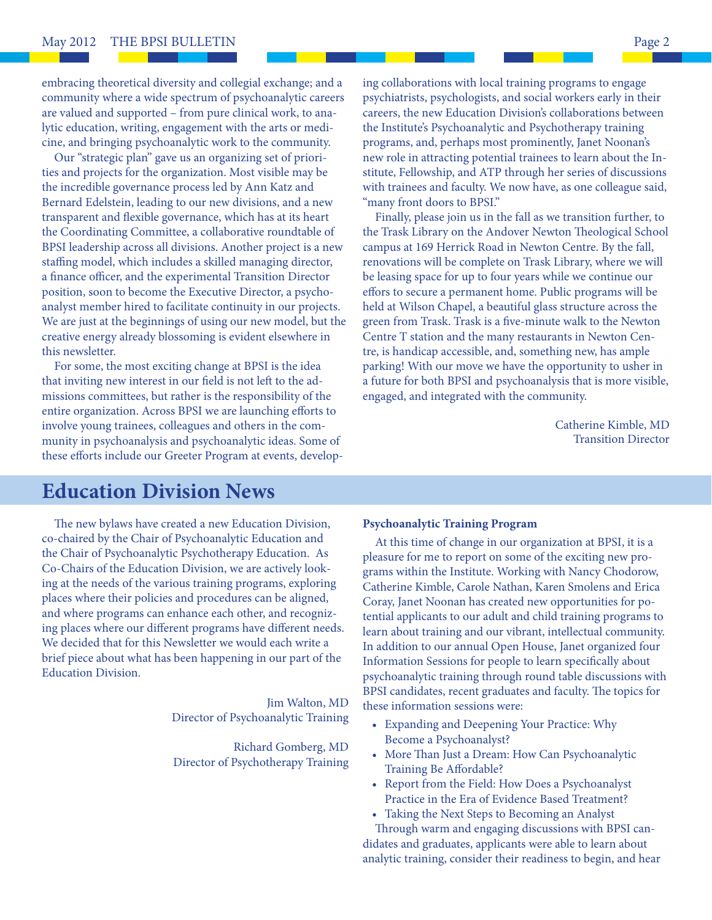embracing theoretical diversity and collegial exchange; and a community where a wide spectrum of psychoanalytic careers are valued and supported – from pure clinical work, to analytic education, writing, engagement with the arts or medicine, and bringing psychoanalytic work to the community.

 Our "strategic plan" gave us an organizing set of priorities and projects for the organization. Most visible may be the incredible governance process led by Ann Katz and Bernard Edelstein, leading to our new divisions, and a new transparent and flexible governance, which has at its heart the Coordinating Committee, a collaborative roundtable of BPSI leadership across all divisions. Another project is a new staffing model, which includes a skilled managing director, a finance officer, and the experimental Transition Director position, soon to become the Executive Director, a psychoanalyst member hired to facilitate continuity in our projects. We are just at the beginnings of using our new model, but the creative energy already blossoming is evident elsewhere in this newsletter.

 For some, the most exciting change at BPSI is the idea that inviting new interest in our field is not left to the admissions committees, but rather is the responsibility of the entire organization. Across BPSI we are launching efforts to involve young trainees, colleagues and others in the community in psychoanalysis and psychoanalytic ideas. Some of these efforts include our Greeter Program at events, developing collaborations with local training programs to engage psychiatrists, psychologists, and social workers early in their careers, the new Education Division's collaborations between the Institute's Psychoanalytic and Psychotherapy training programs, and, perhaps most prominently, Janet Noonan's new role in attracting potential trainees to learn about the Institute, Fellowship, and ATP through her series of discussions with trainees and faculty. We now have, as one colleague said, "many front doors to BPSI."

 Finally, please join us in the fall as we transition further, to the Trask Library on the Andover Newton Theological School campus at 169 Herrick Road in Newton Centre. By the fall, renovations will be complete on Trask Library, where we will be leasing space for up to four years while we continue our effors to secure a permanent home. Public programs will be held at Wilson Chapel, a beautiful glass structure across the green from Trask. Trask is a five-minute walk to the Newton Centre T station and the many restaurants in Newton Centre, is handicap accessible, and, something new, has ample parking! With our move we have the opportunity to usher in a future for both BPSI and psychoanalysis that is more visible, engaged, and integrated with the community.

> Catherine Kimble, MD Transition Director

## **Education Division News**

The new bylaws have created a new Education Division, co-chaired by the Chair of Psychoanalytic Education and the Chair of Psychoanalytic Psychotherapy Education. As Co-Chairs of the Education Division, we are actively looking at the needs of the various training programs, exploring places where their policies and procedures can be aligned, and where programs can enhance each other, and recognizing places where our different programs have different needs. We decided that for this Newsletter we would each write a brief piece about what has been happening in our part of the Education Division.

> Jim Walton, MD Director of Psychoanalytic Training

Richard Gomberg, MD Director of Psychotherapy Training

#### **Psychoanalytic Training Program**

 At this time of change in our organization at BPSI, it is a pleasure for me to report on some of the exciting new programs within the Institute. Working with Nancy Chodorow, Catherine Kimble, Carole Nathan, Karen Smolens and Erica Coray, Janet Noonan has created new opportunities for potential applicants to our adult and child training programs to learn about training and our vibrant, intellectual community. In addition to our annual Open House, Janet organized four Information Sessions for people to learn specifically about psychoanalytic training through round table discussions with BPSI candidates, recent graduates and faculty. The topics for these information sessions were:

- Expanding and Deepening Your Practice: Why Become a Psychoanalyst?
- More Than Just a Dream: How Can Psychoanalytic Training Be Affordable?
- Report from the Field: How Does a Psychoanalyst Practice in the Era of Evidence Based Treatment?
- Taking the Next Steps to Becoming an Analyst

Through warm and engaging discussions with BPSI candidates and graduates, applicants were able to learn about analytic training, consider their readiness to begin, and hear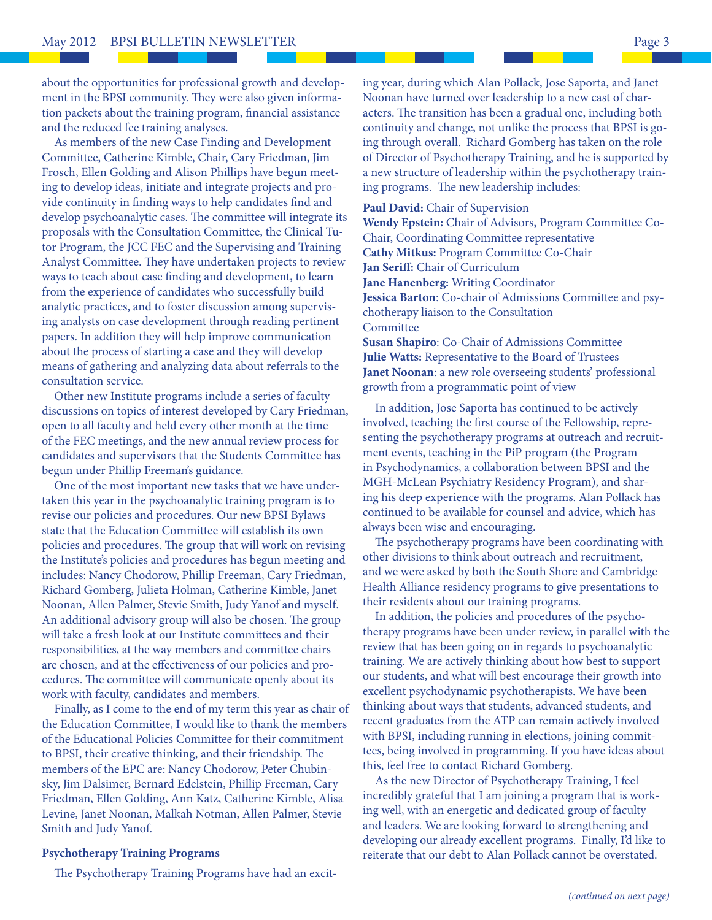about the opportunities for professional growth and development in the BPSI community. They were also given information packets about the training program, financial assistance and the reduced fee training analyses.

 As members of the new Case Finding and Development Committee, Catherine Kimble, Chair, Cary Friedman, Jim Frosch, Ellen Golding and Alison Phillips have begun meeting to develop ideas, initiate and integrate projects and provide continuity in finding ways to help candidates find and develop psychoanalytic cases. The committee will integrate its proposals with the Consultation Committee, the Clinical Tutor Program, the JCC FEC and the Supervising and Training Analyst Committee. They have undertaken projects to review ways to teach about case finding and development, to learn from the experience of candidates who successfully build analytic practices, and to foster discussion among supervising analysts on case development through reading pertinent papers. In addition they will help improve communication about the process of starting a case and they will develop means of gathering and analyzing data about referrals to the consultation service.

 Other new Institute programs include a series of faculty discussions on topics of interest developed by Cary Friedman, open to all faculty and held every other month at the time of the FEC meetings, and the new annual review process for candidates and supervisors that the Students Committee has begun under Phillip Freeman's guidance.

 One of the most important new tasks that we have undertaken this year in the psychoanalytic training program is to revise our policies and procedures. Our new BPSI Bylaws state that the Education Committee will establish its own policies and procedures. The group that will work on revising the Institute's policies and procedures has begun meeting and includes: Nancy Chodorow, Phillip Freeman, Cary Friedman, Richard Gomberg, Julieta Holman, Catherine Kimble, Janet Noonan, Allen Palmer, Stevie Smith, Judy Yanof and myself. An additional advisory group will also be chosen. The group will take a fresh look at our Institute committees and their responsibilities, at the way members and committee chairs are chosen, and at the effectiveness of our policies and procedures. The committee will communicate openly about its work with faculty, candidates and members.

 Finally, as I come to the end of my term this year as chair of the Education Committee, I would like to thank the members of the Educational Policies Committee for their commitment to BPSI, their creative thinking, and their friendship. The members of the EPC are: Nancy Chodorow, Peter Chubinsky, Jim Dalsimer, Bernard Edelstein, Phillip Freeman, Cary Friedman, Ellen Golding, Ann Katz, Catherine Kimble, Alisa Levine, Janet Noonan, Malkah Notman, Allen Palmer, Stevie Smith and Judy Yanof.

#### **Psychotherapy Training Programs**

The Psychotherapy Training Programs have had an excit-

ing year, during which Alan Pollack, Jose Saporta, and Janet Noonan have turned over leadership to a new cast of characters. The transition has been a gradual one, including both continuity and change, not unlike the process that BPSI is going through overall. Richard Gomberg has taken on the role of Director of Psychotherapy Training, and he is supported by a new structure of leadership within the psychotherapy training programs. The new leadership includes:

#### **Paul David:** Chair of Supervision

**Wendy Epstein:** Chair of Advisors, Program Committee Co-Chair, Coordinating Committee representative **Cathy Mitkus:** Program Committee Co-Chair **Jan Seriff:** Chair of Curriculum **Jane Hanenberg:** Writing Coordinator **Jessica Barton**: Co-chair of Admissions Committee and psychotherapy liaison to the Consultation **Committee** 

**Susan Shapiro**: Co-Chair of Admissions Committee **Julie Watts:** Representative to the Board of Trustees **Janet Noonan**: a new role overseeing students' professional growth from a programmatic point of view

 In addition, Jose Saporta has continued to be actively involved, teaching the first course of the Fellowship, representing the psychotherapy programs at outreach and recruitment events, teaching in the PiP program (the Program in Psychodynamics, a collaboration between BPSI and the MGH-McLean Psychiatry Residency Program), and sharing his deep experience with the programs. Alan Pollack has continued to be available for counsel and advice, which has always been wise and encouraging.

The psychotherapy programs have been coordinating with other divisions to think about outreach and recruitment, and we were asked by both the South Shore and Cambridge Health Alliance residency programs to give presentations to their residents about our training programs.

 In addition, the policies and procedures of the psychotherapy programs have been under review, in parallel with the review that has been going on in regards to psychoanalytic training. We are actively thinking about how best to support our students, and what will best encourage their growth into excellent psychodynamic psychotherapists. We have been thinking about ways that students, advanced students, and recent graduates from the ATP can remain actively involved with BPSI, including running in elections, joining committees, being involved in programming. If you have ideas about this, feel free to contact Richard Gomberg.

 As the new Director of Psychotherapy Training, I feel incredibly grateful that I am joining a program that is working well, with an energetic and dedicated group of faculty and leaders. We are looking forward to strengthening and developing our already excellent programs. Finally, I'd like to reiterate that our debt to Alan Pollack cannot be overstated.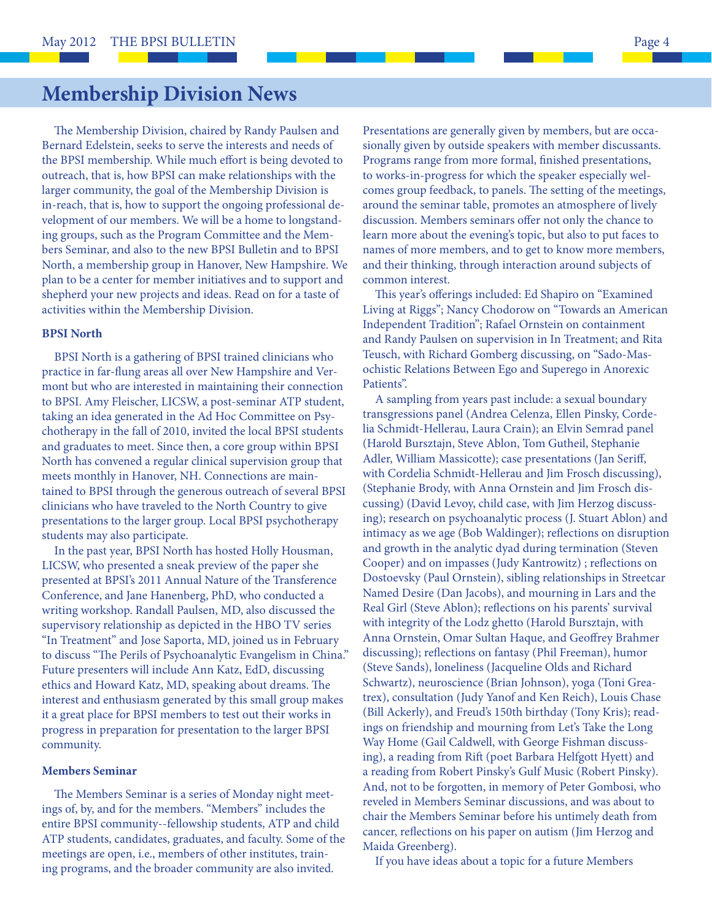# **Membership Division News**

The Membership Division, chaired by Randy Paulsen and Bernard Edelstein, seeks to serve the interests and needs of the BPSI membership. While much effort is being devoted to outreach, that is, how BPSI can make relationships with the larger community, the goal of the Membership Division is in-reach, that is, how to support the ongoing professional development of our members. We will be a home to longstanding groups, such as the Program Committee and the Members Seminar, and also to the new BPSI Bulletin and to BPSI North, a membership group in Hanover, New Hampshire. We plan to be a center for member initiatives and to support and shepherd your new projects and ideas. Read on for a taste of activities within the Membership Division.

#### **BPSI North**

 BPSI North is a gathering of BPSI trained clinicians who practice in far-flung areas all over New Hampshire and Vermont but who are interested in maintaining their connection to BPSI. Amy Fleischer, LICSW, a post-seminar ATP student, taking an idea generated in the Ad Hoc Committee on Psychotherapy in the fall of 2010, invited the local BPSI students and graduates to meet. Since then, a core group within BPSI North has convened a regular clinical supervision group that meets monthly in Hanover, NH. Connections are maintained to BPSI through the generous outreach of several BPSI clinicians who have traveled to the North Country to give presentations to the larger group. Local BPSI psychotherapy students may also participate.

 In the past year, BPSI North has hosted Holly Housman, LICSW, who presented a sneak preview of the paper she presented at BPSI's 2011 Annual Nature of the Transference Conference, and Jane Hanenberg, PhD, who conducted a writing workshop. Randall Paulsen, MD, also discussed the supervisory relationship as depicted in the HBO TV series "In Treatment" and Jose Saporta, MD, joined us in February to discuss "The Perils of Psychoanalytic Evangelism in China." Future presenters will include Ann Katz, EdD, discussing ethics and Howard Katz, MD, speaking about dreams. The interest and enthusiasm generated by this small group makes it a great place for BPSI members to test out their works in progress in preparation for presentation to the larger BPSI community.

#### **Members Seminar**

The Members Seminar is a series of Monday night meetings of, by, and for the members. "Members" includes the entire BPSI community--fellowship students, ATP and child ATP students, candidates, graduates, and faculty. Some of the meetings are open, i.e., members of other institutes, training programs, and the broader community are also invited.

Presentations are generally given by members, but are occasionally given by outside speakers with member discussants. Programs range from more formal, finished presentations, to works-in-progress for which the speaker especially welcomes group feedback, to panels. The setting of the meetings, around the seminar table, promotes an atmosphere of lively discussion. Members seminars offer not only the chance to learn more about the evening's topic, but also to put faces to names of more members, and to get to know more members, and their thinking, through interaction around subjects of common interest.

This year's offerings included: Ed Shapiro on "Examined" Living at Riggs"; Nancy Chodorow on "Towards an American Independent Tradition"; Rafael Ornstein on containment and Randy Paulsen on supervision in In Treatment; and Rita Teusch, with Richard Gomberg discussing, on "Sado-Masochistic Relations Between Ego and Superego in Anorexic Patients".

 A sampling from years past include: a sexual boundary transgressions panel (Andrea Celenza, Ellen Pinsky, Cordelia Schmidt-Hellerau, Laura Crain); an Elvin Semrad panel (Harold Bursztajn, Steve Ablon, Tom Gutheil, Stephanie Adler, William Massicotte); case presentations (Jan Seriff, with Cordelia Schmidt-Hellerau and Jim Frosch discussing), (Stephanie Brody, with Anna Ornstein and Jim Frosch discussing) (David Levoy, child case, with Jim Herzog discussing); research on psychoanalytic process (J. Stuart Ablon) and intimacy as we age (Bob Waldinger); reflections on disruption and growth in the analytic dyad during termination (Steven Cooper) and on impasses (Judy Kantrowitz) ; reflections on Dostoevsky (Paul Ornstein), sibling relationships in Streetcar Named Desire (Dan Jacobs), and mourning in Lars and the Real Girl (Steve Ablon); reflections on his parents' survival with integrity of the Lodz ghetto (Harold Bursztajn, with Anna Ornstein, Omar Sultan Haque, and Geoffrey Brahmer discussing); reflections on fantasy (Phil Freeman), humor (Steve Sands), loneliness (Jacqueline Olds and Richard Schwartz), neuroscience (Brian Johnson), yoga (Toni Greatrex), consultation (Judy Yanof and Ken Reich), Louis Chase (Bill Ackerly), and Freud's 150th birthday (Tony Kris); readings on friendship and mourning from Let's Take the Long Way Home (Gail Caldwell, with George Fishman discussing), a reading from Rift (poet Barbara Helfgott Hyett) and a reading from Robert Pinsky's Gulf Music (Robert Pinsky). And, not to be forgotten, in memory of Peter Gombosi, who reveled in Members Seminar discussions, and was about to chair the Members Seminar before his untimely death from cancer, reflections on his paper on autism (Jim Herzog and Maida Greenberg).

If you have ideas about a topic for a future Members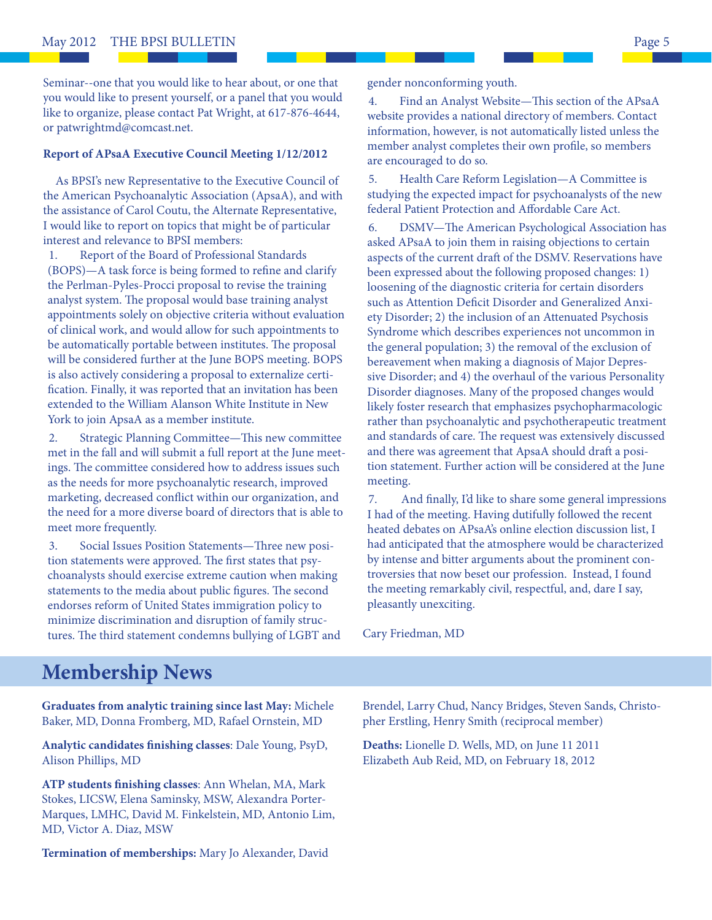Seminar--one that you would like to hear about, or one that you would like to present yourself, or a panel that you would like to organize, please contact Pat Wright, at 617-876-4644, or patwrightmd@comcast.net.

#### **Report of APsaA Executive Council Meeting 1/12/2012**

 As BPSI's new Representative to the Executive Council of the American Psychoanalytic Association (ApsaA), and with the assistance of Carol Coutu, the Alternate Representative, I would like to report on topics that might be of particular interest and relevance to BPSI members:

1. Report of the Board of Professional Standards (BOPS)—A task force is being formed to refine and clarify the Perlman-Pyles-Procci proposal to revise the training analyst system. The proposal would base training analyst appointments solely on objective criteria without evaluation of clinical work, and would allow for such appointments to be automatically portable between institutes. The proposal will be considered further at the June BOPS meeting. BOPS is also actively considering a proposal to externalize certification. Finally, it was reported that an invitation has been extended to the William Alanson White Institute in New York to join ApsaA as a member institute.

2. Strategic Planning Committee—This new committee met in the fall and will submit a full report at the June meetings. The committee considered how to address issues such as the needs for more psychoanalytic research, improved marketing, decreased conflict within our organization, and the need for a more diverse board of directors that is able to meet more frequently.

3. Social Issues Position Statements—Three new position statements were approved. The first states that psychoanalysts should exercise extreme caution when making statements to the media about public figures. The second endorses reform of United States immigration policy to minimize discrimination and disruption of family structures. The third statement condemns bullying of LGBT and gender nonconforming youth.

4. Find an Analyst Website—This section of the APsaA website provides a national directory of members. Contact information, however, is not automatically listed unless the member analyst completes their own profile, so members are encouraged to do so.

5. Health Care Reform Legislation—A Committee is studying the expected impact for psychoanalysts of the new federal Patient Protection and Affordable Care Act.

6. DSMV-The American Psychological Association has asked APsaA to join them in raising objections to certain aspects of the current draft of the DSMV. Reservations have been expressed about the following proposed changes: 1) loosening of the diagnostic criteria for certain disorders such as Attention Deficit Disorder and Generalized Anxiety Disorder; 2) the inclusion of an Attenuated Psychosis Syndrome which describes experiences not uncommon in the general population; 3) the removal of the exclusion of bereavement when making a diagnosis of Major Depressive Disorder; and 4) the overhaul of the various Personality Disorder diagnoses. Many of the proposed changes would likely foster research that emphasizes psychopharmacologic rather than psychoanalytic and psychotherapeutic treatment and standards of care. The request was extensively discussed and there was agreement that ApsaA should draft a position statement. Further action will be considered at the June meeting.

7. And finally, I'd like to share some general impressions I had of the meeting. Having dutifully followed the recent heated debates on APsaA's online election discussion list, I had anticipated that the atmosphere would be characterized by intense and bitter arguments about the prominent controversies that now beset our profession. Instead, I found the meeting remarkably civil, respectful, and, dare I say, pleasantly unexciting.

Cary Friedman, MD

## **Membership News**

**Graduates from analytic training since last May:** Michele Baker, MD, Donna Fromberg, MD, Rafael Ornstein, MD

Analytic candidates finishing classes: Dale Young, PsyD, Alison Phillips, MD

ATP students finishing classes: Ann Whelan, MA, Mark Stokes, LICSW, Elena Saminsky, MSW, Alexandra Porter-Marques, LMHC, David M. Finkelstein, MD, Antonio Lim, MD, Victor A. Diaz, MSW

**Termination of memberships:** Mary Jo Alexander, David

Brendel, Larry Chud, Nancy Bridges, Steven Sands, Christopher Erstling, Henry Smith (reciprocal member)

**Deaths:** Lionelle D. Wells, MD, on June 11 2011 Elizabeth Aub Reid, MD, on February 18, 2012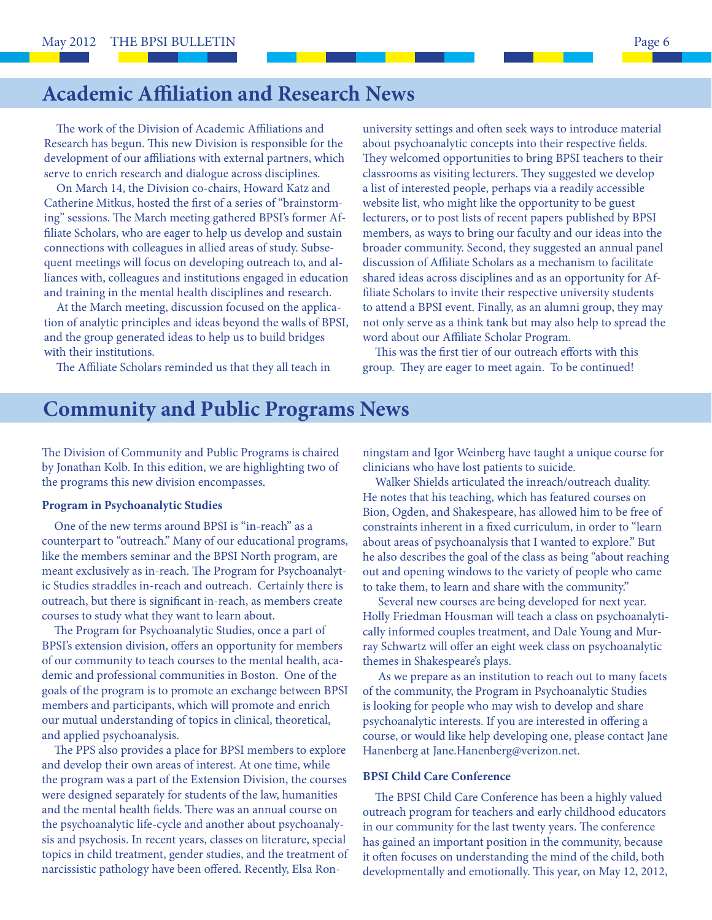# **Academic Affiliation and Research News**

The work of the Division of Academic Affiliations and Research has begun. This new Division is responsible for the development of our affiliations with external partners, which serve to enrich research and dialogue across disciplines.

 On March 14, the Division co-chairs, Howard Katz and Catherine Mitkus, hosted the first of a series of "brainstorming" sessions. The March meeting gathered BPSI's former Affiliate Scholars, who are eager to help us develop and sustain connections with colleagues in allied areas of study. Subsequent meetings will focus on developing outreach to, and alliances with, colleagues and institutions engaged in education and training in the mental health disciplines and research.

 At the March meeting, discussion focused on the application of analytic principles and ideas beyond the walls of BPSI, and the group generated ideas to help us to build bridges with their institutions.

The Affiliate Scholars reminded us that they all teach in

university settings and often seek ways to introduce material about psychoanalytic concepts into their respective fields. They welcomed opportunities to bring BPSI teachers to their classrooms as visiting lecturers. They suggested we develop a list of interested people, perhaps via a readily accessible website list, who might like the opportunity to be guest lecturers, or to post lists of recent papers published by BPSI members, as ways to bring our faculty and our ideas into the broader community. Second, they suggested an annual panel discussion of Affiliate Scholars as a mechanism to facilitate shared ideas across disciplines and as an opportunity for Affiliate Scholars to invite their respective university students to attend a BPSI event. Finally, as an alumni group, they may not only serve as a think tank but may also help to spread the word about our Affiliate Scholar Program.

This was the first tier of our outreach efforts with this group. They are eager to meet again. To be continued!

## **Community and Public Programs News**

The Division of Community and Public Programs is chaired by Jonathan Kolb. In this edition, we are highlighting two of the programs this new division encompasses.

#### **Program in Psychoanalytic Studies**

 One of the new terms around BPSI is "in-reach" as a counterpart to "outreach." Many of our educational programs, like the members seminar and the BPSI North program, are meant exclusively as in-reach. The Program for Psychoanalytic Studies straddles in-reach and outreach. Certainly there is outreach, but there is significant in-reach, as members create courses to study what they want to learn about.

The Program for Psychoanalytic Studies, once a part of BPSI's extension division, offers an opportunity for members of our community to teach courses to the mental health, academic and professional communities in Boston. One of the goals of the program is to promote an exchange between BPSI members and participants, which will promote and enrich our mutual understanding of topics in clinical, theoretical, and applied psychoanalysis.

The PPS also provides a place for BPSI members to explore and develop their own areas of interest. At one time, while the program was a part of the Extension Division, the courses were designed separately for students of the law, humanities and the mental health fields. There was an annual course on the psychoanalytic life-cycle and another about psychoanalysis and psychosis. In recent years, classes on literature, special topics in child treatment, gender studies, and the treatment of narcissistic pathology have been offered. Recently, Elsa Ronningstam and Igor Weinberg have taught a unique course for clinicians who have lost patients to suicide.

 Walker Shields articulated the inreach/outreach duality. He notes that his teaching, which has featured courses on Bion, Ogden, and Shakespeare, has allowed him to be free of constraints inherent in a fixed curriculum, in order to "learn about areas of psychoanalysis that I wanted to explore." But he also describes the goal of the class as being "about reaching out and opening windows to the variety of people who came to take them, to learn and share with the community."

 Several new courses are being developed for next year. Holly Friedman Housman will teach a class on psychoanalytically informed couples treatment, and Dale Young and Murray Schwartz will offer an eight week class on psychoanalytic themes in Shakespeare's plays.

 As we prepare as an institution to reach out to many facets of the community, the Program in Psychoanalytic Studies is looking for people who may wish to develop and share psychoanalytic interests. If you are interested in offering a course, or would like help developing one, please contact Jane Hanenberg at Jane.Hanenberg@verizon.net.

#### **BPSI Child Care Conference**

The BPSI Child Care Conference has been a highly valued outreach program for teachers and early childhood educators in our community for the last twenty years. The conference has gained an important position in the community, because it often focuses on understanding the mind of the child, both developmentally and emotionally. This year, on May 12, 2012,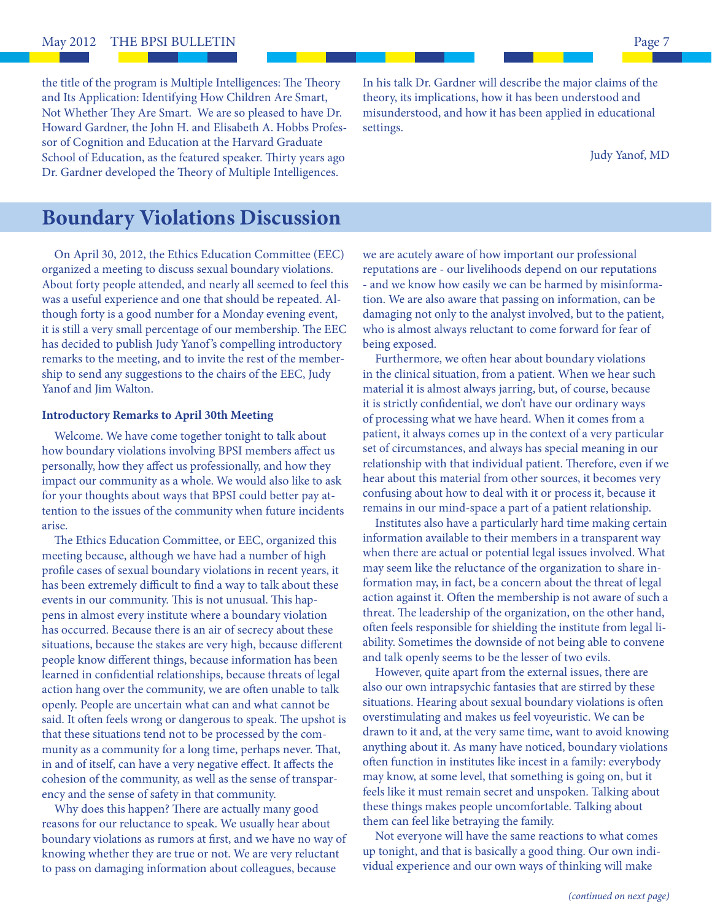the title of the program is Multiple Intelligences: The Theory and Its Application: Identifying How Children Are Smart, Not Whether They Are Smart. We are so pleased to have Dr. Howard Gardner, the John H. and Elisabeth A. Hobbs Professor of Cognition and Education at the Harvard Graduate School of Education, as the featured speaker. Thirty years ago Dr. Gardner developed the Theory of Multiple Intelligences.

In his talk Dr. Gardner will describe the major claims of the theory, its implications, how it has been understood and misunderstood, and how it has been applied in educational settings.

Judy Yanof, MD

## **Boundary Violations Discussion**

 On April 30, 2012, the Ethics Education Committee (EEC) organized a meeting to discuss sexual boundary violations. About forty people attended, and nearly all seemed to feel this was a useful experience and one that should be repeated. Although forty is a good number for a Monday evening event, it is still a very small percentage of our membership. The EEC has decided to publish Judy Yanof's compelling introductory remarks to the meeting, and to invite the rest of the membership to send any suggestions to the chairs of the EEC, Judy Yanof and Jim Walton.

#### **Introductory Remarks to April 30th Meeting**

 Welcome. We have come together tonight to talk about how boundary violations involving BPSI members affect us personally, how they affect us professionally, and how they impact our community as a whole. We would also like to ask for your thoughts about ways that BPSI could better pay attention to the issues of the community when future incidents arise.

The Ethics Education Committee, or EEC, organized this meeting because, although we have had a number of high profile cases of sexual boundary violations in recent years, it has been extremely difficult to find a way to talk about these events in our community. This is not unusual. This happens in almost every institute where a boundary violation has occurred. Because there is an air of secrecy about these situations, because the stakes are very high, because different people know different things, because information has been learned in confidential relationships, because threats of legal action hang over the community, we are often unable to talk openly. People are uncertain what can and what cannot be said. It often feels wrong or dangerous to speak. The upshot is that these situations tend not to be processed by the community as a community for a long time, perhaps never. That, in and of itself, can have a very negative effect. It affects the cohesion of the community, as well as the sense of transparency and the sense of safety in that community.

Why does this happen? There are actually many good reasons for our reluctance to speak. We usually hear about boundary violations as rumors at first, and we have no way of knowing whether they are true or not. We are very reluctant to pass on damaging information about colleagues, because

we are acutely aware of how important our professional reputations are - our livelihoods depend on our reputations - and we know how easily we can be harmed by misinformation. We are also aware that passing on information, can be damaging not only to the analyst involved, but to the patient, who is almost always reluctant to come forward for fear of being exposed.

Furthermore, we often hear about boundary violations in the clinical situation, from a patient. When we hear such material it is almost always jarring, but, of course, because it is strictly confidential, we don't have our ordinary ways of processing what we have heard. When it comes from a patient, it always comes up in the context of a very particular set of circumstances, and always has special meaning in our relationship with that individual patient. Therefore, even if we hear about this material from other sources, it becomes very confusing about how to deal with it or process it, because it remains in our mind-space a part of a patient relationship.

 Institutes also have a particularly hard time making certain information available to their members in a transparent way when there are actual or potential legal issues involved. What may seem like the reluctance of the organization to share information may, in fact, be a concern about the threat of legal action against it. Often the membership is not aware of such a threat. The leadership of the organization, on the other hand, often feels responsible for shielding the institute from legal liability. Sometimes the downside of not being able to convene and talk openly seems to be the lesser of two evils.

 However, quite apart from the external issues, there are also our own intrapsychic fantasies that are stirred by these situations. Hearing about sexual boundary violations is often overstimulating and makes us feel voyeuristic. We can be drawn to it and, at the very same time, want to avoid knowing anything about it. As many have noticed, boundary violations often function in institutes like incest in a family: everybody may know, at some level, that something is going on, but it feels like it must remain secret and unspoken. Talking about these things makes people uncomfortable. Talking about them can feel like betraying the family.

 Not everyone will have the same reactions to what comes up tonight, and that is basically a good thing. Our own individual experience and our own ways of thinking will make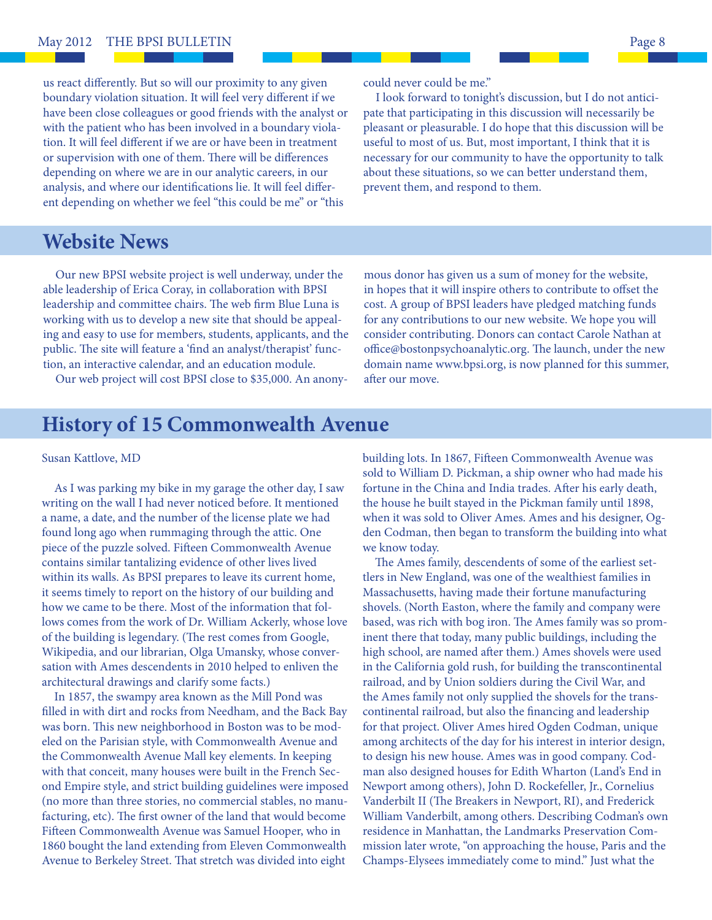us react differently. But so will our proximity to any given boundary violation situation. It will feel very different if we have been close colleagues or good friends with the analyst or with the patient who has been involved in a boundary violation. It will feel different if we are or have been in treatment or supervision with one of them. There will be differences depending on where we are in our analytic careers, in our analysis, and where our identifications lie. It will feel different depending on whether we feel "this could be me" or "this

could never could be me."

 I look forward to tonight's discussion, but I do not anticipate that participating in this discussion will necessarily be pleasant or pleasurable. I do hope that this discussion will be useful to most of us. But, most important, I think that it is necessary for our community to have the opportunity to talk about these situations, so we can better understand them, prevent them, and respond to them.

## **Website News**

 Our new BPSI website project is well underway, under the able leadership of Erica Coray, in collaboration with BPSI leadership and committee chairs. The web firm Blue Luna is working with us to develop a new site that should be appealing and easy to use for members, students, applicants, and the public. The site will feature a 'find an analyst/therapist' function, an interactive calendar, and an education module.

Our web project will cost BPSI close to \$35,000. An anony-

mous donor has given us a sum of money for the website, in hopes that it will inspire others to contribute to offset the cost. A group of BPSI leaders have pledged matching funds for any contributions to our new website. We hope you will consider contributing. Donors can contact Carole Nathan at office@bostonpsychoanalytic.org. The launch, under the new domain name www.bpsi.org, is now planned for this summer, after our move.

## **History of 15 Commonwealth Avenue**

#### Susan Kattlove, MD

 As I was parking my bike in my garage the other day, I saw writing on the wall I had never noticed before. It mentioned a name, a date, and the number of the license plate we had found long ago when rummaging through the attic. One piece of the puzzle solved. Fifteen Commonwealth Avenue contains similar tantalizing evidence of other lives lived within its walls. As BPSI prepares to leave its current home, it seems timely to report on the history of our building and how we came to be there. Most of the information that follows comes from the work of Dr. William Ackerly, whose love of the building is legendary. (The rest comes from Google, Wikipedia, and our librarian, Olga Umansky, whose conversation with Ames descendents in 2010 helped to enliven the architectural drawings and clarify some facts.)

 In 1857, the swampy area known as the Mill Pond was filled in with dirt and rocks from Needham, and the Back Bay was born. This new neighborhood in Boston was to be modeled on the Parisian style, with Commonwealth Avenue and the Commonwealth Avenue Mall key elements. In keeping with that conceit, many houses were built in the French Second Empire style, and strict building guidelines were imposed (no more than three stories, no commercial stables, no manufacturing, etc). The first owner of the land that would become Fifteen Commonwealth Avenue was Samuel Hooper, who in 1860 bought the land extending from Eleven Commonwealth Avenue to Berkeley Street. That stretch was divided into eight

building lots. In 1867, Fifteen Commonwealth Avenue was sold to William D. Pickman, a ship owner who had made his fortune in the China and India trades. After his early death, the house he built stayed in the Pickman family until 1898, when it was sold to Oliver Ames. Ames and his designer, Ogden Codman, then began to transform the building into what we know today.

The Ames family, descendents of some of the earliest settlers in New England, was one of the wealthiest families in Massachusetts, having made their fortune manufacturing shovels. (North Easton, where the family and company were based, was rich with bog iron. The Ames family was so prominent there that today, many public buildings, including the high school, are named after them.) Ames shovels were used in the California gold rush, for building the transcontinental railroad, and by Union soldiers during the Civil War, and the Ames family not only supplied the shovels for the transcontinental railroad, but also the financing and leadership for that project. Oliver Ames hired Ogden Codman, unique among architects of the day for his interest in interior design, to design his new house. Ames was in good company. Codman also designed houses for Edith Wharton (Land's End in Newport among others), John D. Rockefeller, Jr., Cornelius Vanderbilt II (The Breakers in Newport, RI), and Frederick William Vanderbilt, among others. Describing Codman's own residence in Manhattan, the Landmarks Preservation Commission later wrote, "on approaching the house, Paris and the Champs-Elysees immediately come to mind." Just what the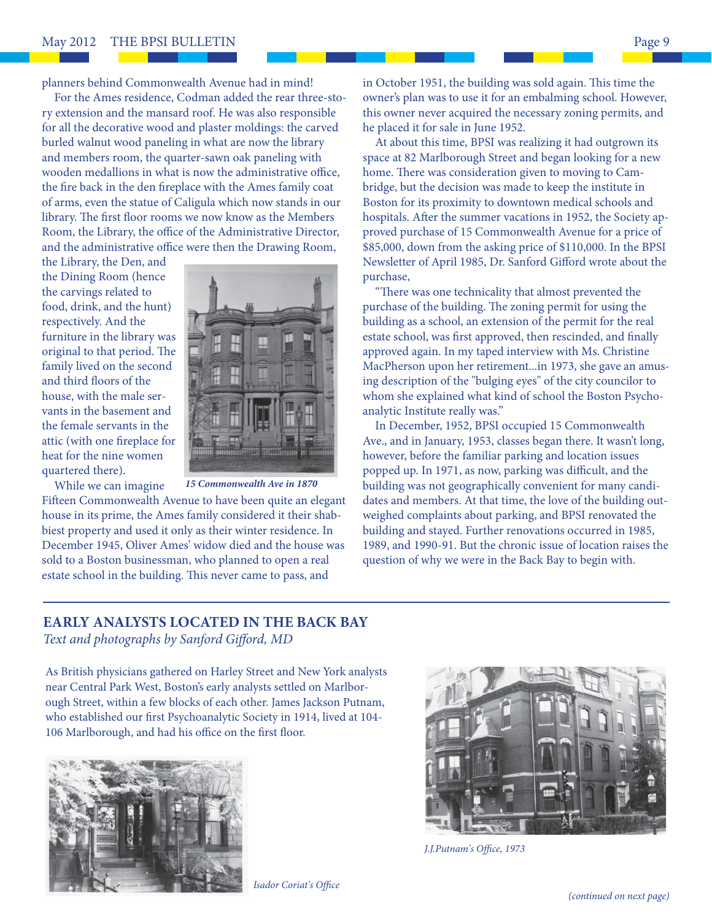planners behind Commonwealth Avenue had in mind!

 For the Ames residence, Codman added the rear three-story extension and the mansard roof. He was also responsible for all the decorative wood and plaster moldings: the carved burled walnut wood paneling in what are now the library and members room, the quarter-sawn oak paneling with wooden medallions in what is now the administrative office, the fire back in the den fireplace with the Ames family coat of arms, even the statue of Caligula which now stands in our library. The first floor rooms we now know as the Members Room, the Library, the office of the Administrative Director, and the administrative office were then the Drawing Room,

the Library, the Den, and the Dining Room (hence the carvings related to food, drink, and the hunt) respectively. And the furniture in the library was original to that period. The family lived on the second and third floors of the house, with the male servants in the basement and the female servants in the attic (with one fireplace for heat for the nine women quartered there).

While we can imagine



*15 Commonwealth Ave in 1870*

Fifteen Commonwealth Avenue to have been quite an elegant house in its prime, the Ames family considered it their shabbiest property and used it only as their winter residence. In December 1945, Oliver Ames' widow died and the house was sold to a Boston businessman, who planned to open a real estate school in the building. This never came to pass, and

in October 1951, the building was sold again. This time the owner's plan was to use it for an embalming school. However, this owner never acquired the necessary zoning permits, and he placed it for sale in June 1952.

 At about this time, BPSI was realizing it had outgrown its space at 82 Marlborough Street and began looking for a new home. There was consideration given to moving to Cambridge, but the decision was made to keep the institute in Boston for its proximity to downtown medical schools and hospitals. After the summer vacations in 1952, the Society approved purchase of 15 Commonwealth Avenue for a price of \$85,000, down from the asking price of \$110,000. In the BPSI Newsletter of April 1985, Dr. Sanford Gifford wrote about the purchase,

"There was one technicality that almost prevented the purchase of the building. The zoning permit for using the building as a school, an extension of the permit for the real estate school, was first approved, then rescinded, and finally approved again. In my taped interview with Ms. Christine MacPherson upon her retirement...in 1973, she gave an amusing description of the "bulging eyes" of the city councilor to whom she explained what kind of school the Boston Psychoanalytic Institute really was."

 In December, 1952, BPSI occupied 15 Commonwealth Ave., and in January, 1953, classes began there. It wasn't long, however, before the familiar parking and location issues popped up. In 1971, as now, parking was difficult, and the building was not geographically convenient for many candidates and members. At that time, the love of the building outweighed complaints about parking, and BPSI renovated the building and stayed. Further renovations occurred in 1985, 1989, and 1990-91. But the chronic issue of location raises the question of why we were in the Back Bay to begin with.

## **EARLY ANALYSTS LOCATED IN THE BACK BAY** Text and photographs by Sanford Gifford, MD

As British physicians gathered on Harley Street and New York analysts near Central Park West, Boston's early analysts settled on Marlborough Street, within a few blocks of each other. James Jackson Putnam, who established our first Psychoanalytic Society in 1914, lived at 104-106 Marlborough, and had his office on the first floor.





J.J.Putnam's Office, 1973

**Isador Coriat's Office**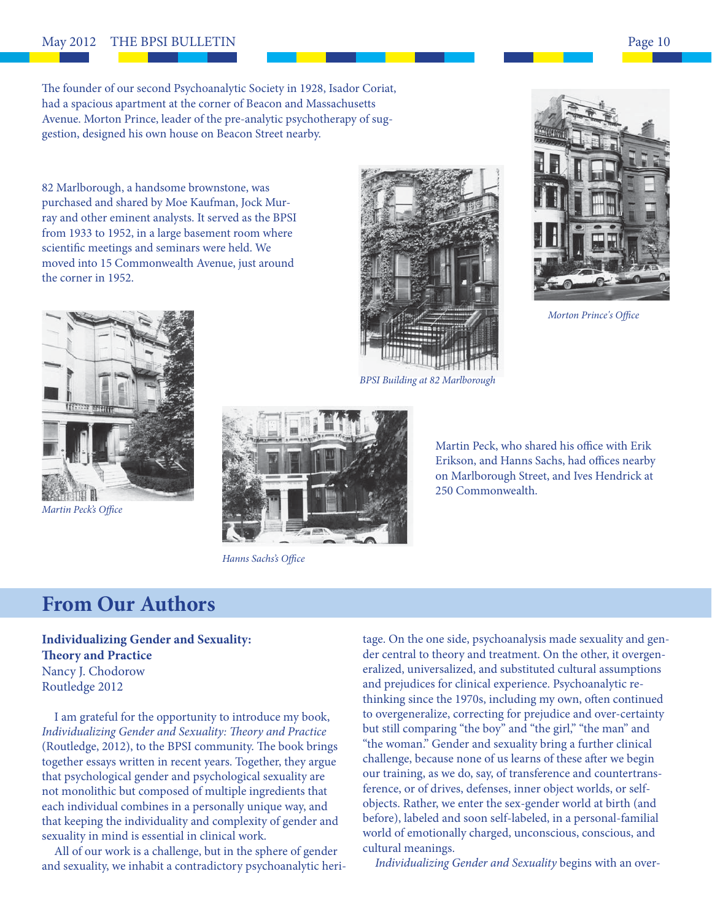#### May 2012 THE BPSI BULLETIN **Page 10**

The founder of our second Psychoanalytic Society in 1928, Isador Coriat, had a spacious apartment at the corner of Beacon and Massachusetts Avenue. Morton Prince, leader of the pre-analytic psychotherapy of suggestion, designed his own house on Beacon Street nearby.

82 Marlborough, a handsome brownstone, was purchased and shared by Moe Kaufman, Jock Murray and other eminent analysts. It served as the BPSI from 1933 to 1952, in a large basement room where scientific meetings and seminars were held. We moved into 15 Commonwealth Avenue, just around the corner in 1952.



Martin Peck's Office



BPSI Building at 82 Marlborough



Morton Prince's Office



Erikson, and Hanns Sachs, had offices nearby on Marlborough Street, and Ives Hendrick at 250 Commonwealth.

Martin Peck, who shared his office with Erik

Hanns Sachs's Office

## **From Our Authors**

**Individualizing Gender and Sexuality: Theory and Practice** Nancy J. Chodorow Routledge 2012

 I am grateful for the opportunity to introduce my book, Individualizing Gender and Sexuality: Theory and Practice (Routledge, 2012), to the BPSI community. The book brings together essays written in recent years. Together, they argue that psychological gender and psychological sexuality are not monolithic but composed of multiple ingredients that each individual combines in a personally unique way, and that keeping the individuality and complexity of gender and sexuality in mind is essential in clinical work.

 All of our work is a challenge, but in the sphere of gender and sexuality, we inhabit a contradictory psychoanalytic heritage. On the one side, psychoanalysis made sexuality and gender central to theory and treatment. On the other, it overgeneralized, universalized, and substituted cultural assumptions and prejudices for clinical experience. Psychoanalytic rethinking since the 1970s, including my own, often continued to overgeneralize, correcting for prejudice and over-certainty but still comparing "the boy" and "the girl," "the man" and "the woman." Gender and sexuality bring a further clinical challenge, because none of us learns of these after we begin our training, as we do, say, of transference and countertransference, or of drives, defenses, inner object worlds, or selfobjects. Rather, we enter the sex-gender world at birth (and before), labeled and soon self-labeled, in a personal-familial world of emotionally charged, unconscious, conscious, and cultural meanings.

Individualizing Gender and Sexuality begins with an over-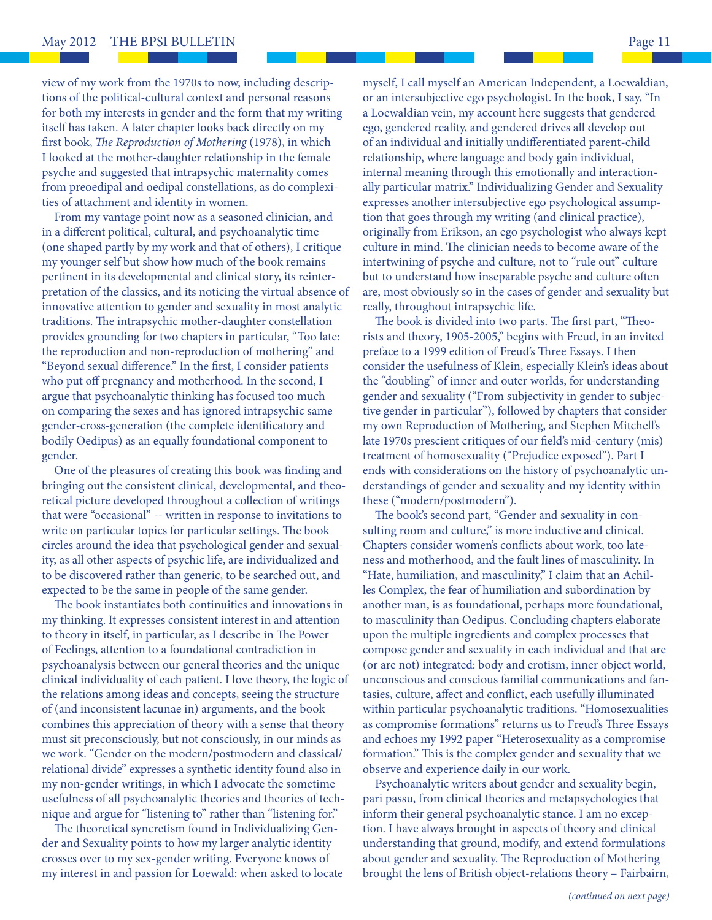view of my work from the 1970s to now, including descriptions of the political-cultural context and personal reasons for both my interests in gender and the form that my writing itself has taken. A later chapter looks back directly on my first book, *The Reproduction of Mothering* (1978), in which I looked at the mother-daughter relationship in the female psyche and suggested that intrapsychic maternality comes from preoedipal and oedipal constellations, as do complexities of attachment and identity in women.

 From my vantage point now as a seasoned clinician, and in a different political, cultural, and psychoanalytic time (one shaped partly by my work and that of others), I critique my younger self but show how much of the book remains pertinent in its developmental and clinical story, its reinterpretation of the classics, and its noticing the virtual absence of innovative attention to gender and sexuality in most analytic traditions. The intrapsychic mother-daughter constellation provides grounding for two chapters in particular, "Too late: the reproduction and non-reproduction of mothering" and "Beyond sexual difference." In the first, I consider patients who put off pregnancy and motherhood. In the second, I argue that psychoanalytic thinking has focused too much on comparing the sexes and has ignored intrapsychic same gender-cross-generation (the complete identificatory and bodily Oedipus) as an equally foundational component to gender.

One of the pleasures of creating this book was finding and bringing out the consistent clinical, developmental, and theoretical picture developed throughout a collection of writings that were "occasional" -- written in response to invitations to write on particular topics for particular settings. The book circles around the idea that psychological gender and sexuality, as all other aspects of psychic life, are individualized and to be discovered rather than generic, to be searched out, and expected to be the same in people of the same gender.

The book instantiates both continuities and innovations in my thinking. It expresses consistent interest in and attention to theory in itself, in particular, as I describe in The Power of Feelings, attention to a foundational contradiction in psychoanalysis between our general theories and the unique clinical individuality of each patient. I love theory, the logic of the relations among ideas and concepts, seeing the structure of (and inconsistent lacunae in) arguments, and the book combines this appreciation of theory with a sense that theory must sit preconsciously, but not consciously, in our minds as we work. "Gender on the modern/postmodern and classical/ relational divide" expresses a synthetic identity found also in my non-gender writings, in which I advocate the sometime usefulness of all psychoanalytic theories and theories of technique and argue for "listening to" rather than "listening for."

The theoretical syncretism found in Individualizing Gender and Sexuality points to how my larger analytic identity crosses over to my sex-gender writing. Everyone knows of my interest in and passion for Loewald: when asked to locate

myself, I call myself an American Independent, a Loewaldian, or an intersubjective ego psychologist. In the book, I say, "In a Loewaldian vein, my account here suggests that gendered ego, gendered reality, and gendered drives all develop out of an individual and initially undifferentiated parent-child relationship, where language and body gain individual, internal meaning through this emotionally and interactionally particular matrix." Individualizing Gender and Sexuality expresses another intersubjective ego psychological assumption that goes through my writing (and clinical practice), originally from Erikson, an ego psychologist who always kept culture in mind. The clinician needs to become aware of the intertwining of psyche and culture, not to "rule out" culture but to understand how inseparable psyche and culture often are, most obviously so in the cases of gender and sexuality but really, throughout intrapsychic life.

The book is divided into two parts. The first part, "Theorists and theory, 1905-2005," begins with Freud, in an invited preface to a 1999 edition of Freud's Three Essays. I then consider the usefulness of Klein, especially Klein's ideas about the "doubling" of inner and outer worlds, for understanding gender and sexuality ("From subjectivity in gender to subjective gender in particular"), followed by chapters that consider my own Reproduction of Mothering, and Stephen Mitchell's late 1970s prescient critiques of our field's mid-century (mis) treatment of homosexuality ("Prejudice exposed"). Part I ends with considerations on the history of psychoanalytic understandings of gender and sexuality and my identity within these ("modern/postmodern").

The book's second part, "Gender and sexuality in consulting room and culture," is more inductive and clinical. Chapters consider women's conflicts about work, too lateness and motherhood, and the fault lines of masculinity. In "Hate, humiliation, and masculinity," I claim that an Achilles Complex, the fear of humiliation and subordination by another man, is as foundational, perhaps more foundational, to masculinity than Oedipus. Concluding chapters elaborate upon the multiple ingredients and complex processes that compose gender and sexuality in each individual and that are (or are not) integrated: body and erotism, inner object world, unconscious and conscious familial communications and fantasies, culture, affect and conflict, each usefully illuminated within particular psychoanalytic traditions. "Homosexualities as compromise formations" returns us to Freud's Three Essays and echoes my 1992 paper "Heterosexuality as a compromise formation." This is the complex gender and sexuality that we observe and experience daily in our work.

 Psychoanalytic writers about gender and sexuality begin, pari passu, from clinical theories and metapsychologies that inform their general psychoanalytic stance. I am no exception. I have always brought in aspects of theory and clinical understanding that ground, modify, and extend formulations about gender and sexuality. The Reproduction of Mothering brought the lens of British object-relations theory – Fairbairn,